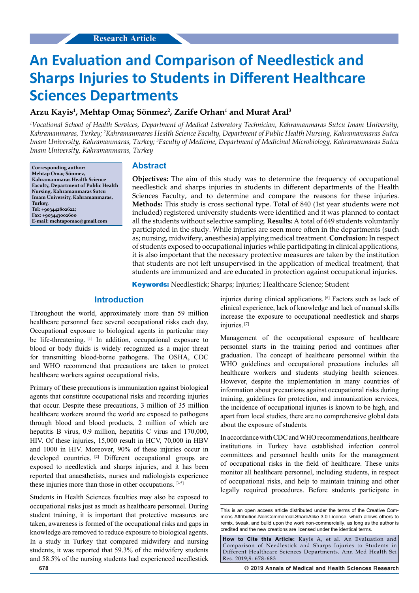# **An Evaluation and Comparison of Needlestick and Sharps Injuries to Students in Different Healthcare Sciences Departments**

## **Arzu Kayis1 , Mehtap Omaç Sönmez2 , Zarife Orhan1 and Murat Aral3**

*1 Vocational School of Health Services, Department of Medical Laboratory Technician, Kahramanmaras Sutcu Imam University, Kahramanmaras, Turkey; 2 Kahramanmaras Health Science Faculty, Department of Public Health Nursing, Kahramanmaras Sutcu Imam University, Kahramanmaras, Turkey; 3 Faculty of Medicine, Department of Medicinal Microbiology, Kahramanmaras Sutcu Imam University, Kahramanmaras, Turkey*

**Corresponding author: Mehtap Omaç Sönmez, Kahramanmaras Health Science Faculty, Department of Public Health Nursing, Kahramanmaras Sutcu Imam University, Kahramanmaras, Turkey, Tel: +903442802622; Fax: +903443002600 E-mail: mehtapomac@gmail.com**

#### **Abstract**

**Objectives:** The aim of this study was to determine the frequency of occupational needlestick and sharps injuries in students in different departments of the Health Sciences Faculty, and to determine and compare the reasons for these injuries. **Methods:** This study is cross sectional type. Total of 840 (1st year students were not included) registered university students were identified and it was planned to contact all the students without selective sampling. **Results:** A total of 649 students voluntarily participated in the study. While injuries are seen more often in the departments (such as; nursing, midwifery, anesthesia) applying medical treatment. **Conclusion:** In respect of students exposed to occupational injuries while participating in clinical applications, it is also important that the necessary protective measures are taken by the institution that students are not left unsupervised in the application of medical treatment, that students are immunized and are educated in protection against occupational injuries.

**Keywords:** Needlestick; Sharps; Injuries; Healthcare Science; Student

## **Introduction**

Throughout the world, approximately more than 59 million healthcare personnel face several occupational risks each day. Occupational exposure to biological agents in particular may be life-threatening. [1] In addition, occupational exposure to blood or body fluids is widely recognized as a major threat for transmitting blood-borne pathogens. The OSHA, CDC and WHO recommend that precautions are taken to protect healthcare workers against occupational risks.

Primary of these precautions is immunization against biological agents that constitute occupational risks and recording injuries that occur. Despite these precautions, 3 million of 35 million healthcare workers around the world are exposed to pathogens through blood and blood products, 2 million of which are hepatitis B virus, 0.9 million, hepatitis C virus and 170,000, HIV. Of these injuries, 15,000 result in HCV, 70,000 in HBV and 1000 in HIV. Moreover, 90% of these injuries occur in developed countries. [2] Different occupational groups are exposed to needlestick and sharps injuries, and it has been reported that anaesthetists, nurses and radiologists experience these injuries more than those in other occupations. [3-5]

Students in Health Sciences faculties may also be exposed to occupational risks just as much as healthcare personnel. During student training, it is important that protective measures are taken, awareness is formed of the occupational risks and gaps in knowledge are removed to reduce exposure to biological agents. In a study in Turkey that compared midwifery and nursing students, it was reported that 59.3% of the midwifery students and 58.5% of the nursing students had experienced needlestick

injuries during clinical applications. [6] Factors such as lack of clinical experience, lack of knowledge and lack of manual skills increase the exposure to occupational needlestick and sharps injuries.<sup>[7]</sup>

Management of the occupational exposure of healthcare personnel starts in the training period and continues after graduation. The concept of healthcare personnel within the WHO guidelines and occupational precautions includes all healthcare workers and students studying health sciences. However, despite the implementation in many countries of information about precautions against occupational risks during training, guidelines for protection, and immunization services, the incidence of occupational injuries is known to be high, and apart from local studies, there are no comprehensive global data about the exposure of students.

In accordance with CDC and WHO recommendations, healthcare institutions in Turkey have established infection control committees and personnel health units for the management of occupational risks in the field of healthcare. These units monitor all healthcare personnel, including students, in respect of occupational risks, and help to maintain training and other legally required procedures. Before students participate in

**How to Cite this Article:** Kayis A, et al. An Evaluation and Comparison of Needlestick and Sharps Injuries to Students in Different Healthcare Sciences Departments. Ann Med Health Sci Res. 2019;9: 678-683

**678 © 2019 Annals of Medical and Health Sciences Research** 

This is an open access article distributed under the terms of the Creative Com‑ mons Attribution‑NonCommercial‑ShareAlike 3.0 License, which allows others to remix, tweak, and build upon the work non-commercially, as long as the author is credited and the new creations are licensed under the identical terms.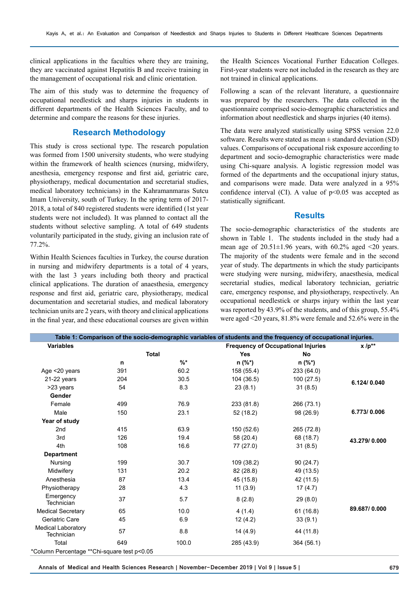clinical applications in the faculties where they are training, they are vaccinated against Hepatitis B and receive training in the management of occupational risk and clinic orientation.

The aim of this study was to determine the frequency of occupational needlestick and sharps injuries in students in different departments of the Health Sciences Faculty, and to determine and compare the reasons for these injuries.

#### **Research Methodology**

This study is cross sectional type. The research population was formed from 1500 university students, who were studying within the framework of health sciences (nursing, midwifery, anesthesia, emergency response and first aid, geriatric care, physiotherapy, medical documentation and secretarial studies, medical laboratory technicians) in the Kahramanmaras Sutcu Imam University, south of Turkey. In the spring term of 2017- 2018, a total of 840 registered students were identified (1st year students were not included). It was planned to contact all the students without selective sampling. A total of 649 students voluntarily participated in the study, giving an inclusion rate of 77.2%.

Within Health Sciences faculties in Turkey, the course duration in nursing and midwifery departments is a total of 4 years, with the last 3 years including both theory and practical clinical applications. The duration of anaesthesia, emergency response and first aid, geriatric care, physiotherapy, medical documentation and secretarial studies, and medical laboratory technician units are 2 years, with theory and clinical applications in the final year, and these educational courses are given within the Health Sciences Vocational Further Education Colleges. First-year students were not included in the research as they are not trained in clinical applications.

Following a scan of the relevant literature, a questionnaire was prepared by the researchers. The data collected in the questionnaire comprised socio-demographic characteristics and information about needlestick and sharps injuries (40 items).

The data were analyzed statistically using SPSS version 22.0 software. Results were stated as mean  $\pm$  standard deviation (SD) values. Comparisons of occupational risk exposure according to department and socio-demographic characteristics were made using Chi-square analysis. A logistic regression model was formed of the departments and the occupational injury status, and comparisons were made. Data were analyzed in a 95% confidence interval (CI). A value of  $p<0.05$  was accepted as statistically significant.

#### **Results**

The socio-demographic characteristics of the students are shown in Table 1. The students included in the study had a mean age of  $20.51 \pm 1.96$  years, with 60.2% aged <20 years. The majority of the students were female and in the second year of study. The departments in which the study participants were studying were nursing, midwifery, anaesthesia, medical secretarial studies, medical laboratory technician, geriatric care, emergency response, and physiotherapy, respectively. An occupational needlestick or sharps injury within the last year was reported by 43.9% of the students, and of this group, 55.4% were aged <20 years, 81.8% were female and 52.6% were in the

|                                              |     |                 | Table 1: Comparison of the socio-demographic variables of students and the frequency of occupational injuries. |                                           |              |  |  |
|----------------------------------------------|-----|-----------------|----------------------------------------------------------------------------------------------------------------|-------------------------------------------|--------------|--|--|
| <b>Variables</b>                             |     |                 |                                                                                                                | <b>Frequency of Occupational Injuries</b> |              |  |  |
|                                              |     | <b>Total</b>    | <b>Yes</b>                                                                                                     | <b>No</b>                                 |              |  |  |
|                                              | n   | $\frac{9}{6}$ * | $n (\%^*)$                                                                                                     | $n (\%^*)$                                |              |  |  |
| Age <20 years                                | 391 | 60.2            | 158 (55.4)                                                                                                     | 233 (64.0)                                |              |  |  |
| $21-22$ years                                | 204 | 30.5            | 104 (36.5)                                                                                                     | 100 (27.5)                                | 6.124/0.040  |  |  |
| >23 years                                    | 54  | 8.3             | 23(8.1)                                                                                                        | 31(8.5)                                   |              |  |  |
| Gender                                       |     |                 |                                                                                                                |                                           |              |  |  |
| Female                                       | 499 | 76.9            | 233 (81.8)                                                                                                     | 266 (73.1)                                |              |  |  |
| Male                                         | 150 | 23.1            | 52 (18.2)                                                                                                      | 98 (26.9)                                 | 6.773/0.006  |  |  |
| Year of study                                |     |                 |                                                                                                                |                                           |              |  |  |
| 2 <sub>nd</sub>                              | 415 | 63.9            | 150 (52.6)                                                                                                     | 265 (72.8)                                |              |  |  |
| 3rd                                          | 126 | 19.4            | 58 (20.4)                                                                                                      | 68 (18.7)                                 | 43.279/0.000 |  |  |
| 4th                                          | 108 | 16.6            | 77 (27.0)                                                                                                      | 31(8.5)                                   |              |  |  |
| <b>Department</b>                            |     |                 |                                                                                                                |                                           |              |  |  |
| Nursing                                      | 199 | 30.7            | 109 (38.2)                                                                                                     | 90(24.7)                                  |              |  |  |
| Midwifery                                    | 131 | 20.2            | 82 (28.8)                                                                                                      | 49 (13.5)                                 |              |  |  |
| Anesthesia                                   | 87  | 13.4            | 45 (15.8)                                                                                                      | 42 (11.5)                                 |              |  |  |
| Physiotherapy                                | 28  | 4.3             | 11(3.9)                                                                                                        | 17(4.7)                                   |              |  |  |
| Emergency<br>Technician                      | 37  | 5.7             | 8(2.8)                                                                                                         | 29(8.0)                                   |              |  |  |
| <b>Medical Secretary</b>                     | 65  | 10.0            | 4(1.4)                                                                                                         | 61(16.8)                                  | 89.687/0.000 |  |  |
| Geriatric Care                               | 45  | 6.9             | 12(4.2)                                                                                                        | 33(9.1)                                   |              |  |  |
| <b>Medical Laboratory</b><br>Technician      | 57  | 8.8             | 14(4.9)                                                                                                        | 44 (11.8)                                 |              |  |  |
| Total                                        | 649 | 100.0           | 285 (43.9)                                                                                                     | 364 (56.1)                                |              |  |  |
| *Column Percentage ** Chi-square test p<0.05 |     |                 |                                                                                                                |                                           |              |  |  |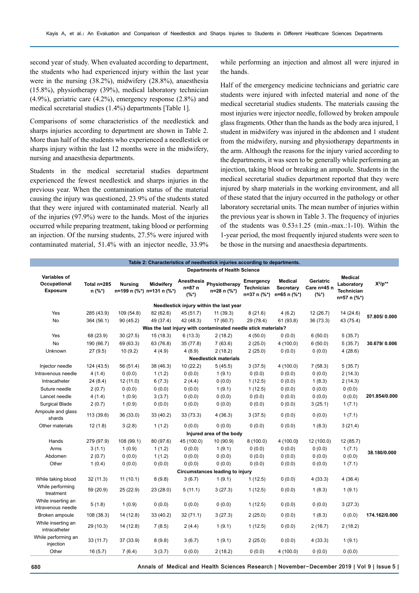second year of study. When evaluated according to department, the students who had experienced injury within the last year were in the nursing (38.2%), midwifery (28.8%), anaesthesia (15.8%), physiotherapy (39%), medical laboratory technician (4.9%), geriatric care (4.2%), emergency response (2.8%) and medical secretarial studies (1.4%) departments [Table 1].

Comparisons of some characteristics of the needlestick and sharps injuries according to department are shown in Table 2. More than half of the students who experienced a needlestick or sharps injury within the last 12 months were in the midwifery, nursing and anaesthesia departments.

Students in the medical secretarial studies department experienced the fewest needlestick and sharps injuries in the previous year. When the contamination status of the material causing the injury was questioned, 23.9% of the students stated that they were injured with contaminated material. Nearly all of the injuries (97.9%) were to the hands. Most of the injuries occurred while preparing treatment, taking blood or performing an injection. Of the nursing students, 27.5% were injured with contaminated material, 51.4% with an injector needle, 33.9%

while performing an injection and almost all were injured in the hands.

Half of the emergency medicine technicians and geriatric care students were injured with infected material and none of the medical secretarial studies students. The materials causing the most injuries were injector needle, followed by broken ampoule glass fragments. Other than the hands as the body area injured, 1 student in midwifery was injured in the abdomen and 1 student from the midwifery, nursing and physiotherapy departments in the arm. Although the reasons for the injury varied according to the departments, it was seen to be generally while performing an injection, taking blood or breaking an ampoule. Students in the medical secretarial studies department reported that they were injured by sharp materials in the working environment, and all of these stated that the injury occurred in the pathology or other laboratory secretarial units. The mean number of injuries within the previous year is shown in Table 3. The frequency of injuries of the students was  $0.53 \pm 1.25$  (min.-max.:1-10). Within the 1-year period, the most frequently injured students were seen to be those in the nursing and anaesthesia departments.

| Table 2: Characteristics of needlestick injuries according to departments. |                         |                |                                               |                                 |                              |                                               |                                            |                                     |                                                                  |               |
|----------------------------------------------------------------------------|-------------------------|----------------|-----------------------------------------------|---------------------------------|------------------------------|-----------------------------------------------|--------------------------------------------|-------------------------------------|------------------------------------------------------------------|---------------|
| <b>Departments of Health Science</b>                                       |                         |                |                                               |                                 |                              |                                               |                                            |                                     |                                                                  |               |
| <b>Variables of</b><br>Occupational<br><b>Exposure</b>                     | Total n=285<br>$n$ (%*) | <b>Nursing</b> | <b>Midwifery</b><br>n=199 n (%*) n=131 n (%*) | Anesthesia<br>n=87 n<br>$(%^*)$ | Physiotherapy<br>n=28 n (%*) | Emergency<br><b>Technician</b><br>n=37 n (%*) | <b>Medical</b><br>Secretary<br>n=65 n (%*) | Geriatric<br>Care n=45 n<br>$(%^*)$ | <b>Medical</b><br>Laboratory<br><b>Technician</b><br>n=57 n (%*) | $X^2/p^{**}$  |
| Needlestick injury within the last year                                    |                         |                |                                               |                                 |                              |                                               |                                            |                                     |                                                                  |               |
| Yes                                                                        | 285 (43.9)              | 109 (54.8)     | 82 (62.6)                                     | 45 (51.7)                       | 11(39.3)                     | 8(21.6)                                       | 4(6.2)                                     | 12(26.7)                            | 14 (24.6)                                                        |               |
| No                                                                         | 364 (56.1)              | 90(45.2)       | 49 (37.4)                                     | 42 (48.3)                       | 17(60.7)                     | 29 (78.4)                                     | 61 (93.8)                                  | 36 (73.3)                           | 43 (75.4)                                                        | 57.805/0.000  |
| Was the last injury with contaminated needle stick materials?              |                         |                |                                               |                                 |                              |                                               |                                            |                                     |                                                                  |               |
| Yes                                                                        | 68 (23.9)               | 30(27.5)       | 15(18.3)                                      | 6(13.3)                         | 2(18.2)                      | 4(50.0)                                       | 0(0.0)                                     | 6(50.0)                             | 5(35.7)                                                          |               |
| No                                                                         | 190 (66.7)              | 69 (63.3)      | 63 (76.8)                                     | 35 (77.8)                       | 7(63.6)                      | 2(25.0)                                       | 4(100.0)                                   | 6(50.0)                             | 5(35.7)                                                          | 30.679/0.006  |
| Unknown                                                                    | 27(9.5)                 | 10(9.2)        | 4(4.9)                                        | 4(8.9)                          | 2(18.2)                      | 2(25.0)                                       | 0(0.0)                                     | 0(0.0)                              | 4(28.6)                                                          |               |
|                                                                            |                         |                |                                               |                                 | <b>Needlestick materials</b> |                                               |                                            |                                     |                                                                  |               |
| Injector needle                                                            | 124 (43.5)              | 56 (51.4)      | 38 (46.3)                                     | 10(22.2)                        | 5(45.5)                      | 3(37.5)                                       | 4 (100.0)                                  | 7(58.3)                             | 5(35.7)                                                          |               |
| Intravenous needle                                                         | 4(1.4)                  | 0(0.0)         | 1(1.2)                                        | 0(0.0)                          | 1(9.1)                       | 0(0.0)                                        | 0(0.0)                                     | 0(0.0)                              | 2(14.3)                                                          |               |
| Intracatheter                                                              | 24 (8.4)                | 12 (11.0)      | 6(7.3)                                        | 2(4.4)                          | 0(0.0)                       | 1(12.5)                                       | 0(0.0)                                     | 1(8.3)                              | 2(14.3)                                                          |               |
| Suture needle                                                              | 2(0.7)                  | 0(0.0)         | 0(0.0)                                        | 0(0.0)                          | 1(9.1)                       | 1(12.5)                                       | 0(0.0)                                     | 0(0.0)                              | 0(0.0)                                                           |               |
| Lancet needle                                                              | 4(1.4)                  | 1(0.9)         | 3(3.7)                                        | 0(0.0)                          | 0(0.0)                       | 0(0.0)                                        | 0(0.0)                                     | 0(0.0)                              | 0(0.0)                                                           | 201.854/0.000 |
| <b>Surgical Blade</b>                                                      | 2(0.7)                  | 1(0.9)         | 0(0.0)                                        | 0(0.0)                          | 0(0.0)                       | 0(0.0)                                        | 0(0.0)                                     | 3(25.1)                             | 1(7.1)                                                           |               |
| Ampoule and glass<br>shards                                                | 113 (39.6)              | 36 (33.0)      | 33(40.2)                                      | 33 (73.3)                       | 4 (36.3)                     | 3(37.5)                                       | 0(0.0)                                     | 0(0.0)                              | 1(7.1)                                                           |               |
| Other materials                                                            | 12(1.8)                 | 3(2.8)         | 1(1.2)                                        | 0(0.0)                          | 0(0.0)                       | 0(0.0)                                        | 0(0.0)                                     | 1(8.3)                              | 3(21.4)                                                          |               |
|                                                                            |                         |                |                                               |                                 | Injured area of the body     |                                               |                                            |                                     |                                                                  |               |
| Hands                                                                      | 279 (97.9)              | 108 (99.1)     | 80 (97.6)                                     | 45 (100.0)                      | 10 (90.9)                    | 8(100.0)                                      | 4 (100.0)                                  | 12 (100.0)                          | 12 (85.7)                                                        |               |
| Arms                                                                       | 3(1.1)                  | 1(0.9)         | 1(1.2)                                        | 0(0.0)                          | 1(9.1)                       | 0(0.0)                                        | 0(0.0)                                     | 0(0.0)                              | 1(7.1)                                                           | 38.180/0.000  |
| Abdomen                                                                    | 2(0.7)                  | 0(0.0)         | 1(1.2)                                        | 0(0.0)                          | 0(0.0)                       | 0(0.0)                                        | 0(0.0)                                     | (0.0)                               | 0(0.0)                                                           |               |
| Other                                                                      | 1(0.4)                  | 0(0.0)         | 0(0.0)                                        | 0(0.0)                          | 0(0.0)                       | 0(0.0)                                        | 0(0.0)                                     | 0(0.0)                              | 1(7.1)                                                           |               |
| Circumstances leading to injury                                            |                         |                |                                               |                                 |                              |                                               |                                            |                                     |                                                                  |               |
| While taking blood                                                         | 32(11.3)                | 11(10.1)       | 8(9.8)                                        | 3(6.7)                          | 1(9.1)                       | 1(12.5)                                       | 0(0.0)                                     | 4(33.3)                             | 4(36.4)                                                          |               |
| While performing<br>treatment                                              | 59 (20.9)               | 25 (22.9)      | 23(28.0)                                      | 5(11.1)                         | 3(27.3)                      | 1(12.5)                                       | 0(0.0)                                     | 1(8.3)                              | 1(9.1)                                                           |               |
| While inserting an<br>intravenous needle                                   | 5(1.8)                  | 1(0.9)         | 0(0.0)                                        | 0(0.0)                          | 0(0.0)                       | 1(12.5)                                       | 0(0.0)                                     | 0(0.0)                              | 3(27.3)                                                          |               |
| Broken ampoule                                                             | 108 (38.3)              | 14 (12.8)      | 33(40.2)                                      | 32(71.1)                        | 3(27.3)                      | 2(25.0)                                       | 0(0.0)                                     | 1(8.3)                              | 0(0.0)                                                           | 174.162/0.000 |
| While inserting an<br>intracatheter                                        | 29 (10.3)               | 14 (12.8)      | 7(8.5)                                        | 2(4.4)                          | 1(9.1)                       | 1(12.5)                                       | 0(0.0)                                     | 2(16.7)                             | 2(18.2)                                                          |               |
| While performing an<br>injection                                           | 33(11.7)                | 37 (33.9)      | 8(9.8)                                        | 3(6.7)                          | 1(9.1)                       | 2(25.0)                                       | 0(0.0)                                     | 4 (33.3)                            | 1(9.1)                                                           |               |
| Other                                                                      | 16(5.7)                 | 7(6.4)         | 3(3.7)                                        | 0(0.0)                          | 2(18.2)                      | 0(0.0)                                        | 4 (100.0)                                  | 0(0.0)                              | 0(0.0)                                                           |               |

**680 Annals of Medical and Health Sciences Research | November-December 2019 | Vol 9 | Issue 5 |**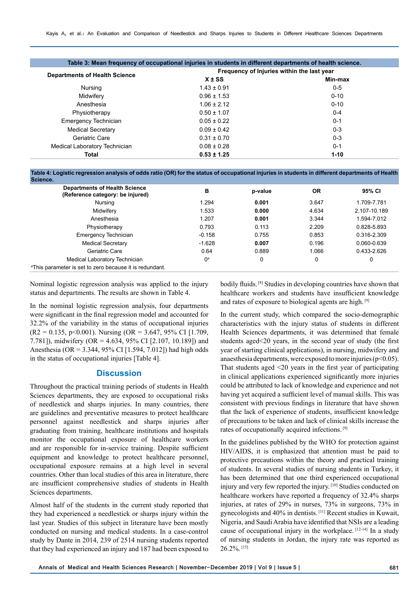| Table 3: Mean frequency of occupational injuries in students in different departments of health science. |                                            |          |  |  |  |
|----------------------------------------------------------------------------------------------------------|--------------------------------------------|----------|--|--|--|
| <b>Departments of Health Science</b>                                                                     | Frequency of Injuries within the last year |          |  |  |  |
|                                                                                                          | $X \pm SS$                                 | Min-max  |  |  |  |
| Nursing                                                                                                  | $1.43 \pm 0.91$                            | $0 - 5$  |  |  |  |
| Midwifery                                                                                                | $0.96 \pm 1.53$                            | $0 - 10$ |  |  |  |
| Anesthesia                                                                                               | $1.06 \pm 2.12$                            | $0 - 10$ |  |  |  |
| Physiotherapy                                                                                            | $0.50 \pm 1.07$                            | $0 - 4$  |  |  |  |
| Emergency Technician                                                                                     | $0.05 \pm 0.22$                            | $0 - 1$  |  |  |  |
| <b>Medical Secretary</b>                                                                                 | $0.09 \pm 0.42$                            | $0 - 3$  |  |  |  |
| Geriatric Care                                                                                           | $0.31 \pm 0.70$                            | $0 - 3$  |  |  |  |
| Medical Laboratory Technician                                                                            | $0.08 \pm 0.28$                            | $0 - 1$  |  |  |  |
| Total                                                                                                    | $0.53 \pm 1.25$                            | $1 - 10$ |  |  |  |

**Table 4: Logistic regression analysis of odds ratio (OR) for the status of occupational injuries in students in different departments of Health** 

| Science.                                                                 |          |         |           |              |
|--------------------------------------------------------------------------|----------|---------|-----------|--------------|
| <b>Departments of Health Science</b><br>(Reference category: be injured) | в        | p-value | <b>OR</b> | 95% CI       |
| Nursing                                                                  | 1.294    | 0.001   | 3.647     | 1.709-7.781  |
| Midwifery                                                                | 1.533    | 0.000   | 4.634     | 2.107-10.189 |
| Anesthesia                                                               | 1.207    | 0.001   | 3.344     | 1.594-7.012  |
| Physiotherapy                                                            | 0.793    | 0.113   | 2.209     | 0.828-5.893  |
| <b>Emergency Technician</b>                                              | $-0.158$ | 0.755   | 0.853     | 0.316-2.309  |
| <b>Medical Secretary</b>                                                 | $-1.628$ | 0.007   | 0.196     | 0.060-0.639  |
| Geriatric Care                                                           | 0.64     | 0.889   | 1.066     | 0.433-2.626  |
| Medical Laboratory Technician                                            | $0^a$    | 0       | 0         | 0            |
| <sup>a</sup> This parameter is set to zero because it is redundant.      |          |         |           |              |

Nominal logistic regression analysis was applied to the injury status and departments. The results are shown in Table 4.

In the nominal logistic regression analysis, four departments were significant in the final regression model and accounted for 32.2% of the variability in the status of occupational injuries  $(R2 = 0.135, p<0.001)$ . Nursing  $(OR = 3.647, 95\% \text{ CI} [1.709,$ 7.781]), midwifery (OR = 4.634, 95% CI [2.107, 10.189]) and Anesthesia (OR = 3.344, 95% CI [1.594, 7.012]) had high odds in the status of occupational injuries [Table 4].

#### **Discussion**

Throughout the practical training periods of students in Health Sciences departments, they are exposed to occupational risks of needlestick and sharps injuries. In many countries, there are guidelines and preventative measures to protect healthcare personnel against needlestick and sharps injuries after graduating from training, healthcare institutions and hospitals monitor the occupational exposure of healthcare workers and are responsible for in-service training. Despite sufficient equipment and knowledge to protect healthcare personnel, occupational exposure remains at a high level in several countries. Other than local studies of this area in literature, there are insufficient comprehensive studies of students in Health Sciences departments.

Almost half of the students in the current study reported that they had experienced a needlestick or sharps injury within the last year. Studies of this subject in literature have been mostly conducted on nursing and medical students. In a case-control study by Dante in 2014, 239 of 2514 nursing students reported that they had experienced an injury and 187 had been exposed to

bodily fluids. [8] Studies in developing countries have shown that healthcare workers and students have insufficient knowledge and rates of exposure to biological agents are high. [9]

In the current study, which compared the socio-demographic characteristics with the injury status of students in different Health Sciences departments, it was determined that female students aged<20 years, in the second year of study (the first year of starting clinical applications), in nursing, midwifery and anaesthesia departments, were exposed to more injuries ( $p<0.05$ ). That students aged <20 years in the first year of participating in clinical applications experienced significantly more injuries could be attributed to lack of knowledge and experience and not having yet acquired a sufficient level of manual skills. This was consistent with previous findings in literature that have shown that the lack of experience of students, insufficient knowledge of precautions to be taken and lack of clinical skills increase the rates of occupationally acquired infections. [9]

In the guidelines published by the WHO for protection against HIV/AIDS, it is emphasized that attention must be paid to protective precautions within the theory and practical training of students. In several studies of nursing students in Turkey, it has been determined that one third experienced occupational injury and very few reported the injury. [10] Studies conducted on healthcare workers have reported a frequency of 32.4% sharps injuries, at rates of 29% in nurses, 73% in surgeons, 73% in gynecologists and 40% in dentists. [11] Recent studies in Kuwait, Nigeria, and Saudi Arabia have identified that NSIs are a leading cause of occupational injury in the workplace. [12-14] In a study of nursing students in Jordan, the injury rate was reported as 26.2%. [15]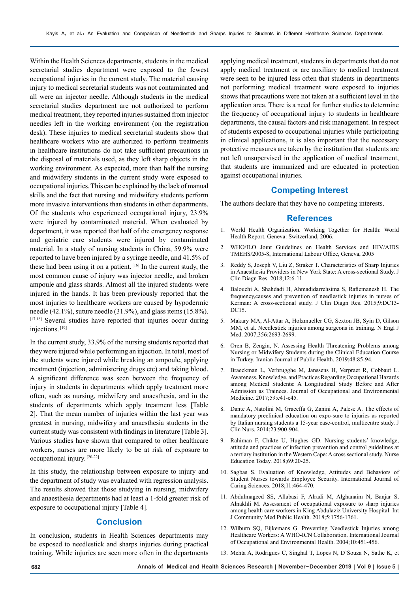Within the Health Sciences departments, students in the medical secretarial studies department were exposed to the fewest occupational injuries in the current study. The material causing injury to medical secretarial students was not contaminated and all were an injector needle. Although students in the medical secretarial studies department are not authorized to perform medical treatment, they reported injuries sustained from injector needles left in the working environment (on the registration desk). These injuries to medical secretarial students show that healthcare workers who are authorized to perform treatments in healthcare institutions do not take sufficient precautions in the disposal of materials used, as they left sharp objects in the working environment. As expected, more than half the nursing and midwifery students in the current study were exposed to occupational injuries. This can be explained by the lack of manual skills and the fact that nursing and midwifery students perform more invasive interventions than students in other departments. Of the students who experienced occupational injury, 23.9% were injured by contaminated material. When evaluated by department, it was reported that half of the emergency response and geriatric care students were injured by contaminated material. In a study of nursing students in China, 59.9% were reported to have been injured by a syringe needle, and 41.5% of these had been using it on a patient.  $[16]$  In the current study, the most common cause of injury was injector needle, and broken ampoule and glass shards. Almost all the injured students were injured in the hands. It has been previously reported that the most injuries to healthcare workers are caused by hypodermic needle (42.1%), suture needle (31.9%), and glass items (15.8%). [17,18] Several studies have reported that injuries occur during injections. [19]

In the current study, 33.9% of the nursing students reported that they were injured while performing an injection. In total, most of the students were injured while breaking an ampoule, applying treatment (injection, administering drugs etc) and taking blood. A significant difference was seen between the frequency of injury in students in departments which apply treatment more often, such as nursing, midwifery and anaesthesia, and in the students of departments which apply treatment less [Table 2]. That the mean number of injuries within the last year was greatest in nursing, midwifery and anaesthesia students in the current study was consistent with findings in literature [Table 3]. Various studies have shown that compared to other healthcare workers, nurses are more likely to be at risk of exposure to occupational injury. [20-22]

In this study, the relationship between exposure to injury and the department of study was evaluated with regression analysis. The results showed that those studying in nursing, midwifery and anaesthesia departments had at least a 1-fold greater risk of exposure to occupational injury [Table 4].

### **Conclusion**

In conclusion, students in Health Sciences departments may be exposed to needlestick and sharps injuries during practical training. While injuries are seen more often in the departments

applying medical treatment, students in departments that do not apply medical treatment or are auxiliary to medical treatment were seen to be injured less often that students in departments not performing medical treatment were exposed to injuries shows that precautions were not taken at a sufficient level in the application area. There is a need for further studies to determine the frequency of occupational injury to students in healthcare departments, the causal factors and risk management. In respect of students exposed to occupational injuries while participating in clinical applications, it is also important that the necessary protective measures are taken by the institution that students are not left unsupervised in the application of medical treatment, that students are immunized and are educated in protection against occupational injuries.

#### **Competing Interest**

The authors declare that they have no competing interests.

#### **References**

- 1. World Health Organization. Working Together for Health: World Health Report. Geneva: Switzerland, 2006.
- 2. WHO/ILO Joınt Guidelines on Health Services and HIV/AIDS TMEHS/2005-8, International Labour Office, Geneva, 2005
- 3. Reddy S, Joseph V, Liu Z, Straker T. Characteristics of Sharp Injuries in Anaesthesia Providers in New York State: A cross-sectional Study. J Clin Diagn Res. 2018;12:6-11.
- 4. Balouchi A, Shahdadi H, Ahmadidarrehsima S, Rafiemanesh H. The frequency,causes and prevention of needlestick injuries in nurses of Kerman: A cross-sectional study. J Clin Diagn Res. 2015;9:DC13- DC15.
- 5. Makary MA, Al-Attar A, Holzmueller CG, Sexton JB, Syin D, Gilson MM, et al. Needlestick injuries among surgeons in training. N Engl J Med. 2007;356:2693-2699.
- 6. Oren B, Zengin, N. Assessing Health Threatening Problems among Nursing or Midwifery Students during the Clinical Education Course in Turkey. Iranian Journal of Public Health. 2019;48:85-94.
- 7. Braeckman L, Verbrugghe M, Janssens H, Verpraet R, Cobbaut L. Awareness, Knowledge, and Practices Regarding Occupational Hazards among Medical Students: A Longitudinal Study Before and After Admission as Trainees. Journal of Occupational and Environmental Medicine. 2017;59:e41-e45.
- 8. Dante A, Natolini M, Graceffa G, Zanini A, Palese A. The effects of mandatory preclinical education on expo-sure to injuries as reported by Italian nursing students a 15-year case-control, multicentre study. J Clin Nurs. 2014;23:900-904.
- 9. Rahiman F, Chikte U, Hughes GD. Nursing students' knowledge, attitude and practices of infection prevention and control guidelines at a tertiary institution in the Western Cape: A cross sectional study. Nurse Education Today. 2018;69:20-25.
- 10. Sagbas S. Evaluation of Knowledge, Attitudes and Behaviors of Student Nurses towards Employee Security. International Journal of Caring Sciences. 2018;11:464-470.
- 11. Abdulmageed SS, Allabasi F, Alradi M, Alghanaim N, Banjar S, Alnakhli M. Assessment of occupational exposure to sharp injuries among health care workers in King Abdulaziz University Hospital. Int J Community Med Public Health. 2018;5:1756-1761.
- 12. Wilburn SQ, Eijkemans G. Preventing Needlestick Injuries among Healthcare Workers: A WHO-ICN Collaboration. International Journal of Occupational and Environmental Health. 2004;10:451-456.
- 13. Mehta A, Rodrigues C, Singhal T, Lopes N, D'Souza N, Sathe K, et